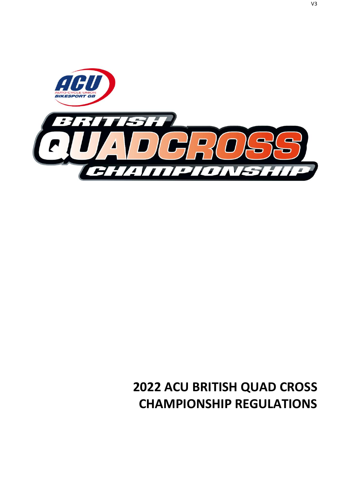

# **2022 ACU BRITISH QUAD CROSS CHAMPIONSHIP REGULATIONS**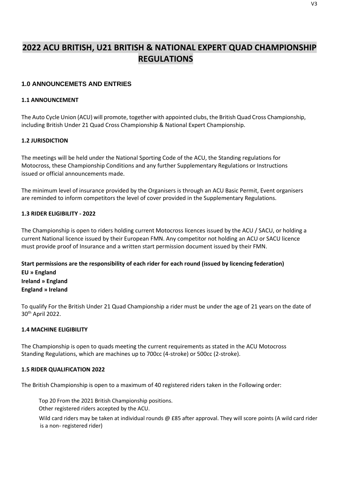# **2022 ACU BRITISH, U21 BRITISH & NATIONAL EXPERT QUAD CHAMPIONSHIP REGULATIONS**

# **1.0 ANNOUNCEMETS AND ENTRIES**

#### **1.1 ANNOUNCEMENT**

The Auto Cycle Union (ACU) will promote, together with appointed clubs, the British Quad Cross Championship, including British Under 21 Quad Cross Championship & National Expert Championship.

# **1.2 JURISDICTION**

The meetings will be held under the National Sporting Code of the ACU, the Standing regulations for Motocross, these Championship Conditions and any further Supplementary Regulations or Instructions issued or official announcements made.

The minimum level of insurance provided by the Organisers is through an ACU Basic Permit, Event organisers are reminded to inform competitors the level of cover provided in the Supplementary Regulations.

# **1.3 RIDER ELIGIBILITY - 2022**

The Championship is open to riders holding current Motocross licences issued by the ACU / SACU, or holding a current National licence issued by their European FMN. Any competitor not holding an ACU or SACU licence must provide proof of Insurance and a written start permission document issued by their FMN.

**Start permissions are the responsibility of each rider for each round (issued by licencing federation) EU » England Ireland » England England » Ireland**

To qualify For the British Under 21 Quad Championship a rider must be under the age of 21 years on the date of 30th April 2022.

#### **1.4 MACHINE ELIGIBILITY**

The Championship is open to quads meeting the current requirements as stated in the ACU Motocross Standing Regulations, which are machines up to 700cc (4-stroke) or 500cc (2-stroke).

#### **1.5 RIDER QUALIFICATION 2022**

The British Championship is open to a maximum of 40 registered riders taken in the Following order:

Top 20 From the 2021 British Championship positions.

Other registered riders accepted by the ACU.

Wild card riders may be taken at individual rounds @ £85 after approval. They will score points (A wild card rider is a non- registered rider)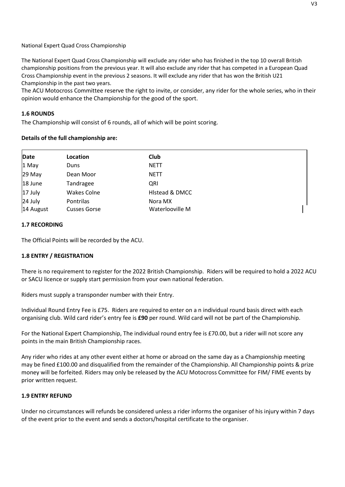National Expert Quad Cross Championship

The National Expert Quad Cross Championship will exclude any rider who has finished in the top 10 overall British championship positions from the previous year. It will also exclude any rider that has competed in a European Quad Cross Championship event in the previous 2 seasons. It will exclude any rider that has won the British U21 Championship in the past two years.

The ACU Motocross Committee reserve the right to invite, or consider, any rider for the whole series, who in their opinion would enhance the Championship for the good of the sport.

#### **1.6 ROUNDS**

The Championship will consist of 6 rounds, all of which will be point scoring.

# **Details of the full championship are:**

| Date                 | Location                         | Club                       |  |
|----------------------|----------------------------------|----------------------------|--|
| 1 May                | Duns                             | <b>NETT</b>                |  |
| 29 May               | Dean Moor                        | <b>NETT</b>                |  |
| 18 June              | Tandragee                        | QRI                        |  |
| 17 July              | <b>Wakes Colne</b>               | Histead & DMCC             |  |
| 24 July<br>14 August | Pontrilas<br><b>Cusses Gorse</b> | Nora MX<br>Waterlooville M |  |

#### **1.7 RECORDING**

The Official Points will be recorded by the ACU.

# **1.8 ENTRY / REGISTRATION**

There is no requirement to register for the 2022 British Championship. Riders will be required to hold a 2022 ACU or SACU licence or supply start permission from your own national federation.

Riders must supply a transponder number with their Entry.

Individual Round Entry Fee is £75. Riders are required to enter on a n individual round basis direct with each organising club. Wild card rider's entry fee is **£90** per round. Wild card will not be part of the Championship.

For the National Expert Championship, The individual round entry fee is £70.00, but a rider will not score any points in the main British Championship races.

Any rider who rides at any other event either at home or abroad on the same day as a Championship meeting may be fined £100.00 and disqualified from the remainder of the Championship. All Championship points & prize money will be forfeited. Riders may only be released by the ACU Motocross Committee for FIM/ FIME events by prior written request.

#### **1.9 ENTRY REFUND**

Under no circumstances will refunds be considered unless a rider informs the organiser of his injury within 7 days of the event prior to the event and sends a doctors/hospital certificate to the organiser.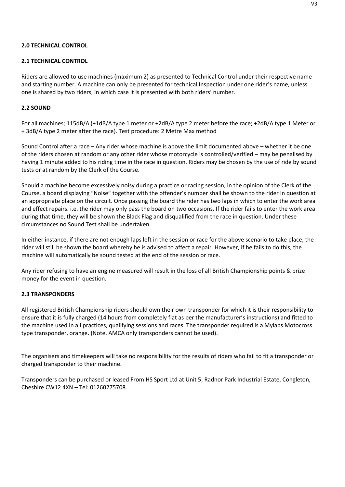# **2.0 TECHNICAL CONTROL**

# **2.1 TECHNICAL CONTROL**

Riders are allowed to use machines (maximum 2) as presented to Technical Control under their respective name and starting number. A machine can only be presented for technical Inspection under one rider's name, unless one is shared by two riders, in which case it is presented with both riders' number.

#### **2.2 SOUND**

For all machines; 115dB/A (+1dB/A type 1 meter or +2dB/A type 2 meter before the race; +2dB/A type 1 Meter or + 3dB/A type 2 meter after the race). Test procedure: 2 Metre Max method

Sound Control after a race – Any rider whose machine is above the limit documented above – whether it be one of the riders chosen at random or any other rider whose motorcycle is controlled/verified – may be penalised by having 1 minute added to his riding time in the race in question. Riders may be chosen by the use of ride by sound tests or at random by the Clerk of the Course.

Should a machine become excessively noisy during a practice or racing session, in the opinion of the Clerk of the Course, a board displaying "Noise" together with the offender's number shall be shown to the rider in question at an appropriate place on the circuit. Once passing the board the rider has two laps in which to enter the work area and effect repairs. i.e. the rider may only pass the board on two occasions. If the rider fails to enter the work area during that time, they will be shown the Black Flag and disqualified from the race in question. Under these circumstances no Sound Test shall be undertaken.

In either instance, if there are not enough laps left in the session or race for the above scenario to take place, the rider will still be shown the board whereby he is advised to affect a repair. However, if he fails to do this, the machine will automatically be sound tested at the end of the session or race.

Any rider refusing to have an engine measured will result in the loss of all British Championship points & prize money for the event in question.

#### **2.3 TRANSPONDERS**

All registered British Championship riders should own their own transponder for which it is their responsibility to ensure that it is fully charged (14 hours from completely flat as per the manufacturer's instructions) and fitted to the machine used in all practices, qualifying sessions and races. The transponder required is a Mylaps Motocross type transponder, orange. (Note. AMCA only transponders cannot be used).

The organisers and timekeepers will take no responsibility for the results of riders who fail to fit a transponder or charged transponder to their machine.

Transponders can be purchased or leased From HS Sport Ltd at Unit 5, Radnor Park Industrial Estate, Congleton, Cheshire CW12 4XN – Tel: 01260275708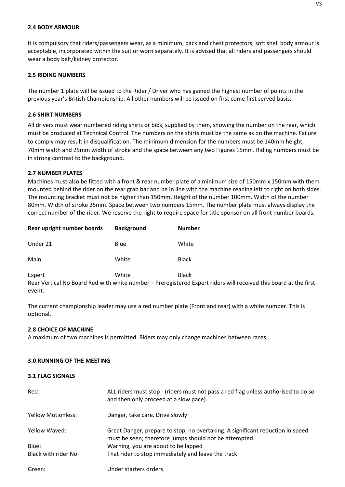#### **2.4 BODY ARMOUR**

It is compulsory that riders/passengers wear, as a minimum, back and chest protectors, soft shell body armour is acceptable, incorporated within the suit or worn separately. It is advised that all riders and passengers should wear a body belt/kidney protector.

#### **2.5 RIDING NUMBERS**

The number 1 plate will be issued to the Rider / Driver who has gained the highest number of points in the previous year's British Championship. All other numbers will be issued on first come first served basis.

#### **2.6 SHIRT NUMBERS**

All drivers must wear numbered riding shirts or bibs, supplied by them, showing the number on the rear, which must be produced at Technical Control. The numbers on the shirts must be the same as on the machine. Failure to comply may result in disqualification. The minimum dimension for the numbers must be 140mm height, 70mm width and 25mm width of stroke and the space between any two Figures 15mm. Riding numbers must be in strong contrast to the background.

#### **2.7 NUMBER PLATES**

Machines must also be fitted with a front & rear number plate of a minimum size of 150mm x 150mm with them mounted behind the rider on the rear grab bar and be in line with the machine reading left to right on both sides. The mounting bracket must not be higher than 150mm. Height of the number 100mm. Width of the number 80mm. Width of stroke 25mm. Space between two numbers 15mm. The number plate must always display the correct number of the rider. We reserve the right to require space for title sponsor on all front number boards.

| Rear upright number boards | <b>Background</b> | <b>Number</b>                                                                                                    |
|----------------------------|-------------------|------------------------------------------------------------------------------------------------------------------|
| Under 21                   | Blue              | White                                                                                                            |
| Main                       | White             | <b>Black</b>                                                                                                     |
| Expert                     | White             | <b>Black</b>                                                                                                     |
|                            |                   | Rear Vertical No Board Red with white number - Preregistered Expert riders will received this board at the first |

The current championship leader may use a red number plate (Front and rear) with a white number. This is optional.

#### **2.8 CHOICE OF MACHINE**

event.

A maximum of two machines is permitted. Riders may only change machines between races.

#### **3.0 RUNNING OF THE MEETING**

#### **3.1 FLAG SIGNALS**

| Red:                 | ALL riders must stop - (riders must not pass a red flag unless authorised to do so<br>and then only proceed at a slow pace).             |
|----------------------|------------------------------------------------------------------------------------------------------------------------------------------|
| Yellow Motionless:   | Danger, take care. Drive slowly                                                                                                          |
| Yellow Waved:        | Great Danger, prepare to stop, no overtaking. A significant reduction in speed<br>must be seen; therefore jumps should not be attempted. |
| Blue:                | Warning, you are about to be lapped                                                                                                      |
| Black with rider No: | That rider to stop immediately and leave the track                                                                                       |
| Green:               | Under starters orders                                                                                                                    |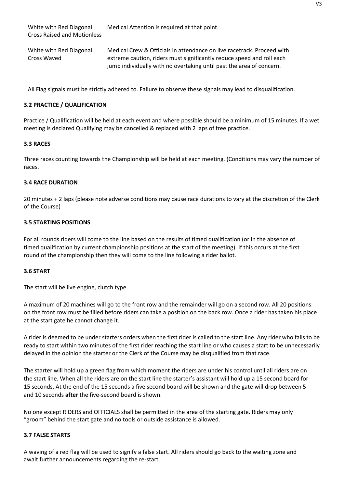White with Red Diagonal Medical Attention is required at that point.

White with Red Diagonal Medical Crew & Officials in attendance on live racetrack. Proceed with Cross Waved extreme caution, riders must significantly reduce speed and roll each jump individually with no overtaking until past the area of concern.

All Flag signals must be strictly adhered to. Failure to observe these signals may lead to disqualification.

# **3.2 PRACTICE / QUALIFICATION**

Practice / Qualification will be held at each event and where possible should be a minimum of 15 minutes. If a wet meeting is declared Qualifying may be cancelled & replaced with 2 laps of free practice.

# **3.3 RACES**

Three races counting towards the Championship will be held at each meeting. (Conditions may vary the number of races.

# **3.4 RACE DURATION**

20 minutes + 2 laps (please note adverse conditions may cause race durations to vary at the discretion of the Clerk of the Course)

# **3.5 STARTING POSITIONS**

For all rounds riders will come to the line based on the results of timed qualification (or in the absence of timed qualification by current championship positions at the start of the meeting). If this occurs at the first round of the championship then they will come to the line following a rider ballot.

#### **3.6 START**

The start will be live engine, clutch type.

A maximum of 20 machines will go to the front row and the remainder will go on a second row. All 20 positions on the front row must be filled before riders can take a position on the back row. Once a rider has taken his place at the start gate he cannot change it.

A rider is deemed to be under starters orders when the first rider is called to the start line. Any rider who fails to be ready to start within two minutes of the first rider reaching the start line or who causes a start to be unnecessarily delayed in the opinion the starter or the Clerk of the Course may be disqualified from that race.

The starter will hold up a green flag from which moment the riders are under his control until all riders are on the start line. When all the riders are on the start line the starter's assistant will hold up a 15 second board for 15 seconds. At the end of the 15 seconds a five second board will be shown and the gate will drop between 5 and 10 seconds **after** the five-second board is shown.

No one except RIDERS and OFFICIALS shall be permitted in the area of the starting gate. Riders may only "groom" behind the start gate and no tools or outside assistance is allowed.

#### **3.7 FALSE STARTS**

A waving of a red flag will be used to signify a false start. All riders should go back to the waiting zone and await further announcements regarding the re-start.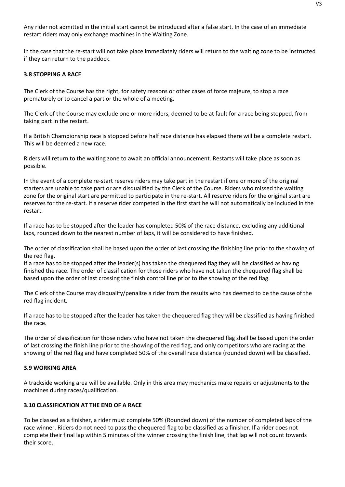Any rider not admitted in the initial start cannot be introduced after a false start. In the case of an immediate restart riders may only exchange machines in the Waiting Zone.

In the case that the re-start will not take place immediately riders will return to the waiting zone to be instructed if they can return to the paddock.

#### **3.8 STOPPING A RACE**

The Clerk of the Course has the right, for safety reasons or other cases of force majeure, to stop a race prematurely or to cancel a part or the whole of a meeting.

The Clerk of the Course may exclude one or more riders, deemed to be at fault for a race being stopped, from taking part in the restart.

If a British Championship race is stopped before half race distance has elapsed there will be a complete restart. This will be deemed a new race.

Riders will return to the waiting zone to await an official announcement. Restarts will take place as soon as possible.

In the event of a complete re-start reserve riders may take part in the restart if one or more of the original starters are unable to take part or are disqualified by the Clerk of the Course. Riders who missed the waiting zone for the original start are permitted to participate in the re-start. All reserve riders for the original start are reserves for the re-start. If a reserve rider competed in the first start he will not automatically be included in the restart.

If a race has to be stopped after the leader has completed 50% of the race distance, excluding any additional laps, rounded down to the nearest number of laps, it will be considered to have finished.

The order of classification shall be based upon the order of last crossing the finishing line prior to the showing of the red flag.

If a race has to be stopped after the leader(s) has taken the chequered flag they will be classified as having finished the race. The order of classification for those riders who have not taken the chequered flag shall be based upon the order of last crossing the finish control line prior to the showing of the red flag.

The Clerk of the Course may disqualify/penalize a rider from the results who has deemed to be the cause of the red flag incident.

If a race has to be stopped after the leader has taken the chequered flag they will be classified as having finished the race.

The order of classification for those riders who have not taken the chequered flag shall be based upon the order of last crossing the finish line prior to the showing of the red flag, and only competitors who are racing at the showing of the red flag and have completed 50% of the overall race distance (rounded down) will be classified.

#### **3.9 WORKING AREA**

A trackside working area will be available. Only in this area may mechanics make repairs or adjustments to the machines during races/qualification.

#### **3.10 CLASSIFICATION AT THE END OF A RACE**

To be classed as a finisher, a rider must complete 50% (Rounded down) of the number of completed laps of the race winner. Riders do not need to pass the chequered flag to be classified as a finisher. If a rider does not complete their final lap within 5 minutes of the winner crossing the finish line, that lap will not count towards their score.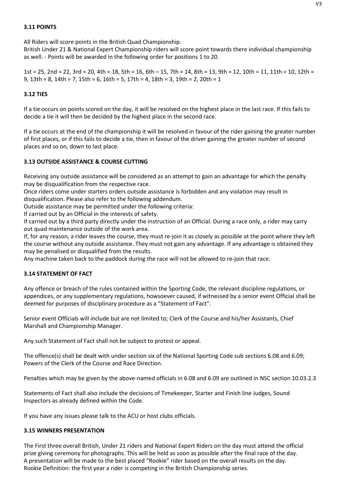# **3.11 POINTS**

All Riders will score points in the British Quad Championship.

British Under 21 & National Expert Championship riders will score point towards there individual championship as well. - Points will be awarded in the following order for positions 1 to 20.

1st = 25, 2nd = 22, 3rd = 20, 4th = 18, 5th = 16, 6th – 15, 7th = 14, 8th = 13, 9th = 12, 10th = 11, 11th = 10, 12th = 9, 13th = 8, 14th = 7, 15th = 6, 16th = 5, 17th = 4, 18th = 3, 19th = 2, 20th = 1

#### **3.12 TIES**

If a tie occurs on points scored on the day, it will be resolved on the highest place in the last race. If this fails to decide a tie it will then be decided by the highest place in the second race.

If a tie occurs at the end of the championship it will be resolved in favour of the rider gaining the greater number of first places, or if this fails to decide a tie, then in favour of the driver gaining the greater number of second places and so on, down to last place.

#### **3.13 OUTSIDE ASSISTANCE & COURSE CUTTING**

Receiving any outside assistance will be considered as an attempt to gain an advantage for which the penalty may be disqualification from the respective race.

Once riders come under starters orders outside assistance is forbidden and any violation may result in disqualification. Please also refer to the following addendum.

Outside assistance may be permitted under the following criteria:

If carried out by an Official in the interests of safety.

If carried out by a third party directly under the instruction of an Official. During a race only, a rider may carry out quad maintenance outside of the work area.

If, for any reason, a rider leaves the course, they must re-join it as closely as possible at the point where they left the course without any outside assistance. They must not gain any advantage. If any advantage is obtained they may be penalised or disqualified from the results.

Any machine taken back to the paddock during the race will not be allowed to re-join that race.

#### **3.14 STATEMENT OF FACT**

Any offence or breach of the rules contained within the Sporting Code, the relevant discipline regulations, or appendices, or any supplementary regulations, howsoever caused, if witnessed by a senior event Official shall be deemed for purposes of disciplinary procedure as a "Statement of Fact".

Senior event Officials will include but are not limited to; Clerk of the Course and his/her Assistants, Chief Marshall and Championship Manager.

Any such Statement of Fact shall not be subject to protest or appeal.

The offence(s) shall be dealt with under section six of the National Sporting Code sub sections 6.08 and 6.09; Powers of the Clerk of the Course and Race Direction.

Penalties which may be given by the above-named officials in 6.08 and 6.09 are outlined in NSC section 10.03.2.3

Statements of Fact shall also include the decisions of Timekeeper, Starter and Finish line Judges, Sound Inspectors as already defined within the Code.

If you have any issues please talk to the ACU or host clubs officials.

#### **3.15 WINNERS PRESENTATION**

The First three overall British, Under 21 riders and National Expert Riders on the day must attend the official prize giving ceremony for photographs. This will be held as soon as possible after the final race of the day. A presentation will be made to the best placed "Rookie" rider based on the overall results on the day. Rookie Definition: the first year a rider is competing in the British Championship series.